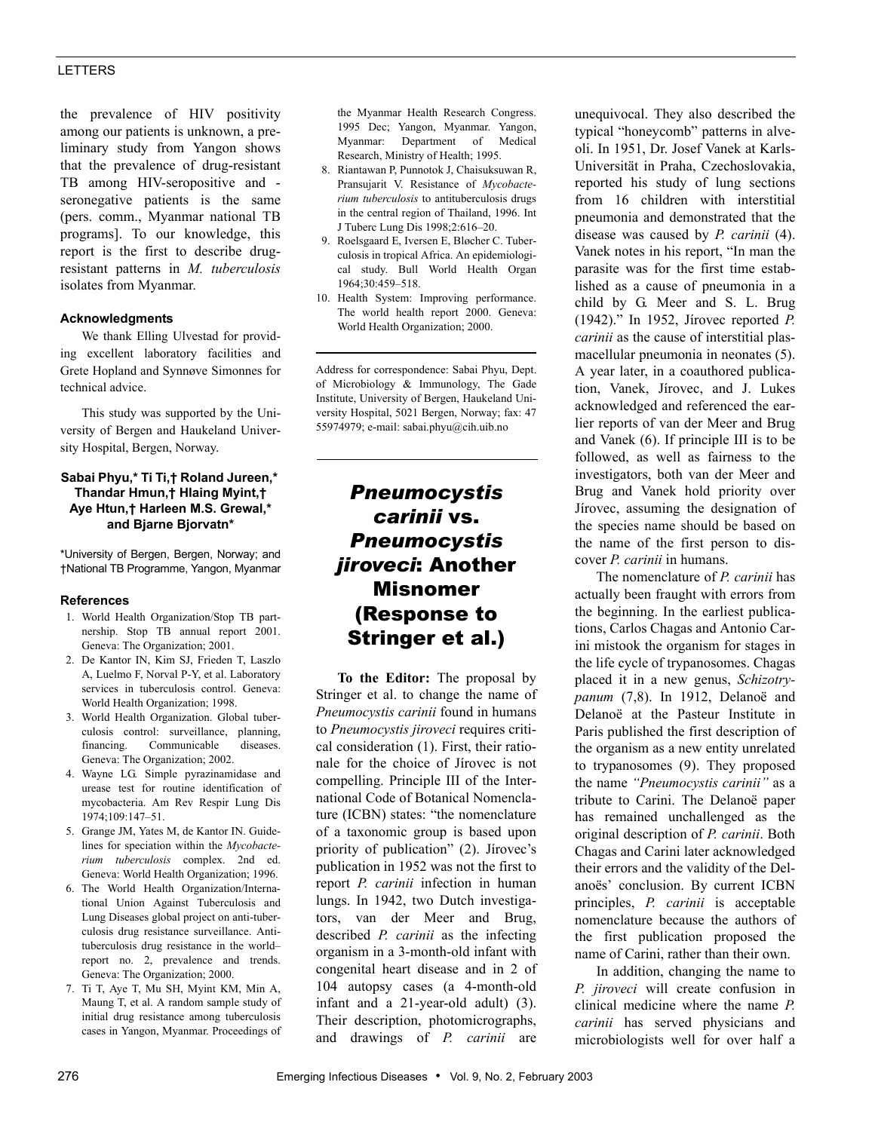## LETTERS

the prevalence of HIV positivity among our patients is unknown, a preliminary study from Yangon shows that the prevalence of drug-resistant TB among HIV-seropositive and seronegative patients is the same (pers. comm., Myanmar national TB programs]. To our knowledge, this report is the first to describe drugresistant patterns in *M. tuberculosis* isolates from Myanmar.

### **Acknowledgments**

We thank Elling Ulvestad for providing excellent laboratory facilities and Grete Hopland and Synnøve Simonnes for technical advice.

This study was supported by the University of Bergen and Haukeland University Hospital, Bergen, Norway.

### **Sabai Phyu,\* Ti Ti,† Roland Jureen,\* Thandar Hmun,† Hlaing Myint,† Aye Htun,† Harleen M.S. Grewal,\* and Bjarne Bjorvatn\***

\*University of Bergen, Bergen, Norway; and †National TB Programme, Yangon, Myanmar

### **References**

- 1. World Health Organization/Stop TB partnership. Stop TB annual report 2001. Geneva: The Organization; 2001.
- 2. De Kantor IN, Kim SJ, Frieden T, Laszlo A, Luelmo F, Norval P-Y, et al. Laboratory services in tuberculosis control. Geneva: World Health Organization; 1998.
- 3. World Health Organization. Global tuberculosis control: surveillance, planning, financing. Communicable diseases. Geneva: The Organization; 2002.
- 4. Wayne LG. Simple pyrazinamidase and urease test for routine identification of mycobacteria. Am Rev Respir Lung Dis 1974;109:147–51.
- 5. Grange JM, Yates M, de Kantor IN. Guidelines for speciation within the *Mycobacterium tuberculosis* complex. 2nd ed. Geneva: World Health Organization; 1996.
- 6. The World Health Organization/International Union Against Tuberculosis and Lung Diseases global project on anti-tuberculosis drug resistance surveillance. Antituberculosis drug resistance in the world– report no. 2, prevalence and trends. Geneva: The Organization; 2000.
- 7. Ti T, Aye T, Mu SH, Myint KM, Min A, Maung T, et al. A random sample study of initial drug resistance among tuberculosis cases in Yangon, Myanmar. Proceedings of

the Myanmar Health Research Congress. 1995 Dec; Yangon, Myanmar. Yangon, Myanmar: Department of Medical Research, Ministry of Health; 1995.

- 8. Riantawan P, Punnotok J, Chaisuksuwan R, Pransujarit V. Resistance of *Mycobacterium tuberculosis* to antituberculosis drugs in the central region of Thailand, 1996. Int J Tuberc Lung Dis 1998;2:616–20.
- 9. Roelsgaard E, Iversen E, Bløcher C. Tuberculosis in tropical Africa. An epidemiological study. Bull World Health Organ 1964;30:459–518.
- 10. Health System: Improving performance. The world health report 2000. Geneva: World Health Organization; 2000.

Address for correspondence: Sabai Phyu, Dept. of Microbiology & Immunology, The Gade Institute, University of Bergen, Haukeland University Hospital, 5021 Bergen, Norway; fax: 47 55974979; e-mail: sabai.phyu@cih.uib.no

# *Pneumocystis carinii* vs. *Pneumocystis jiroveci*: Another Misnomer (Response to Stringer et al.)

**To the Editor:** The proposal by Stringer et al. to change the name of *Pneumocystis carinii* found in humans to *Pneumocystis jiroveci* requires critical consideration (1). First, their rationale for the choice of Jírovec is not compelling. Principle III of the International Code of Botanical Nomenclature (ICBN) states: "the nomenclature of a taxonomic group is based upon priority of publication" (2). Jírovec's publication in 1952 was not the first to report *P. carinii* infection in human lungs. In 1942, two Dutch investigators, van der Meer and Brug, described *P. carinii* as the infecting organism in a 3-month-old infant with congenital heart disease and in 2 of 104 autopsy cases (a 4-month-old infant and a 21-year-old adult) (3). Their description, photomicrographs, and drawings of *P. carinii* are

unequivocal. They also described the typical "honeycomb" patterns in alveoli. In 1951, Dr. Josef Vanek at Karls-Universität in Praha, Czechoslovakia, reported his study of lung sections from 16 children with interstitial pneumonia and demonstrated that the disease was caused by *P. carinii* (4). Vanek notes in his report, "In man the parasite was for the first time established as a cause of pneumonia in a child by G. Meer and S. L. Brug (1942)." In 1952, Jírovec reported *P. carinii* as the cause of interstitial plasmacellular pneumonia in neonates (5). A year later, in a coauthored publication, Vanek, Jírovec, and J. Lukes acknowledged and referenced the earlier reports of van der Meer and Brug and Vanek (6). If principle III is to be followed, as well as fairness to the investigators, both van der Meer and Brug and Vanek hold priority over Jírovec, assuming the designation of the species name should be based on the name of the first person to discover *P. carinii* in humans.

The nomenclature of *P. carinii* has actually been fraught with errors from the beginning. In the earliest publications, Carlos Chagas and Antonio Carini mistook the organism for stages in the life cycle of trypanosomes. Chagas placed it in a new genus, *Schizotrypanum* (7,8). In 1912, Delanoë and Delanoë at the Pasteur Institute in Paris published the first description of the organism as a new entity unrelated to trypanosomes (9). They proposed the name *"Pneumocystis carinii"* as a tribute to Carini. The Delanoë paper has remained unchallenged as the original description of *P. carinii*. Both Chagas and Carini later acknowledged their errors and the validity of the Delanoës' conclusion. By current ICBN principles, *P. carinii* is acceptable nomenclature because the authors of the first publication proposed the name of Carini, rather than their own.

In addition, changing the name to *P. jiroveci* will create confusion in clinical medicine where the name *P. carinii* has served physicians and microbiologists well for over half a